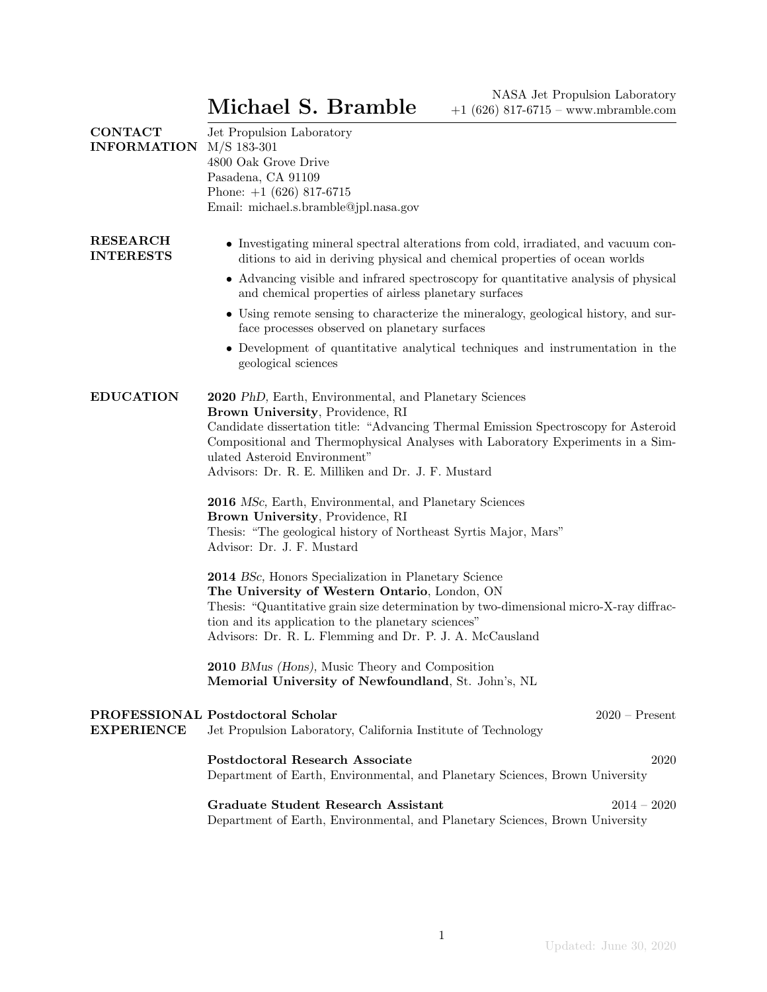| <b>CONTACT</b><br><b>INFORMATION</b> | Jet Propulsion Laboratory<br>$M/S$ 183-301<br>4800 Oak Grove Drive<br>Pasadena, CA 91109<br>Phone: $+1$ (626) 817-6715<br>Email: michael.s.bramble@jpl.nasa.gov                                                                                                                                                                                                                                                                                                                                                                                                                                                                                                                                                                                                                                                                                                                                                                                                                           |
|--------------------------------------|-------------------------------------------------------------------------------------------------------------------------------------------------------------------------------------------------------------------------------------------------------------------------------------------------------------------------------------------------------------------------------------------------------------------------------------------------------------------------------------------------------------------------------------------------------------------------------------------------------------------------------------------------------------------------------------------------------------------------------------------------------------------------------------------------------------------------------------------------------------------------------------------------------------------------------------------------------------------------------------------|
| <b>RESEARCH</b><br><b>INTERESTS</b>  | • Investigating mineral spectral alterations from cold, irradiated, and vacuum con-<br>ditions to aid in deriving physical and chemical properties of ocean worlds<br>• Advancing visible and infrared spectroscopy for quantitative analysis of physical<br>and chemical properties of airless planetary surfaces<br>• Using remote sensing to characterize the mineralogy, geological history, and sur-<br>face processes observed on planetary surfaces<br>• Development of quantitative analytical techniques and instrumentation in the<br>geological sciences                                                                                                                                                                                                                                                                                                                                                                                                                       |
| <b>EDUCATION</b>                     | 2020 PhD, Earth, Environmental, and Planetary Sciences<br>Brown University, Providence, RI<br>Candidate dissertation title: "Advancing Thermal Emission Spectroscopy for Asteroid<br>Compositional and Thermophysical Analyses with Laboratory Experiments in a Sim-<br>ulated Asteroid Environment"<br>Advisors: Dr. R. E. Milliken and Dr. J. F. Mustard<br>2016 MSc, Earth, Environmental, and Planetary Sciences<br>Brown University, Providence, RI<br>Thesis: "The geological history of Northeast Syrtis Major, Mars"<br>Advisor: Dr. J. F. Mustard<br>2014 BSc, Honors Specialization in Planetary Science<br>The University of Western Ontario, London, ON<br>Thesis: "Quantitative grain size determination by two-dimensional micro-X-ray diffrac-<br>tion and its application to the planetary sciences"<br>Advisors: Dr. R. L. Flemming and Dr. P. J. A. McCausland<br>2010 BMus (Hons), Music Theory and Composition<br>Memorial University of Newfoundland, St. John's, NL |
| <b>EXPERIENCE</b>                    | PROFESSIONAL Postdoctoral Scholar<br>$2020$ – Present<br>Jet Propulsion Laboratory, California Institute of Technology                                                                                                                                                                                                                                                                                                                                                                                                                                                                                                                                                                                                                                                                                                                                                                                                                                                                    |
|                                      | <b>Postdoctoral Research Associate</b><br>2020<br>Department of Earth, Environmental, and Planetary Sciences, Brown University                                                                                                                                                                                                                                                                                                                                                                                                                                                                                                                                                                                                                                                                                                                                                                                                                                                            |
|                                      | <b>Graduate Student Research Assistant</b><br>$2014 - 2020$<br>Department of Earth, Environmental, and Planetary Sciences, Brown University                                                                                                                                                                                                                                                                                                                                                                                                                                                                                                                                                                                                                                                                                                                                                                                                                                               |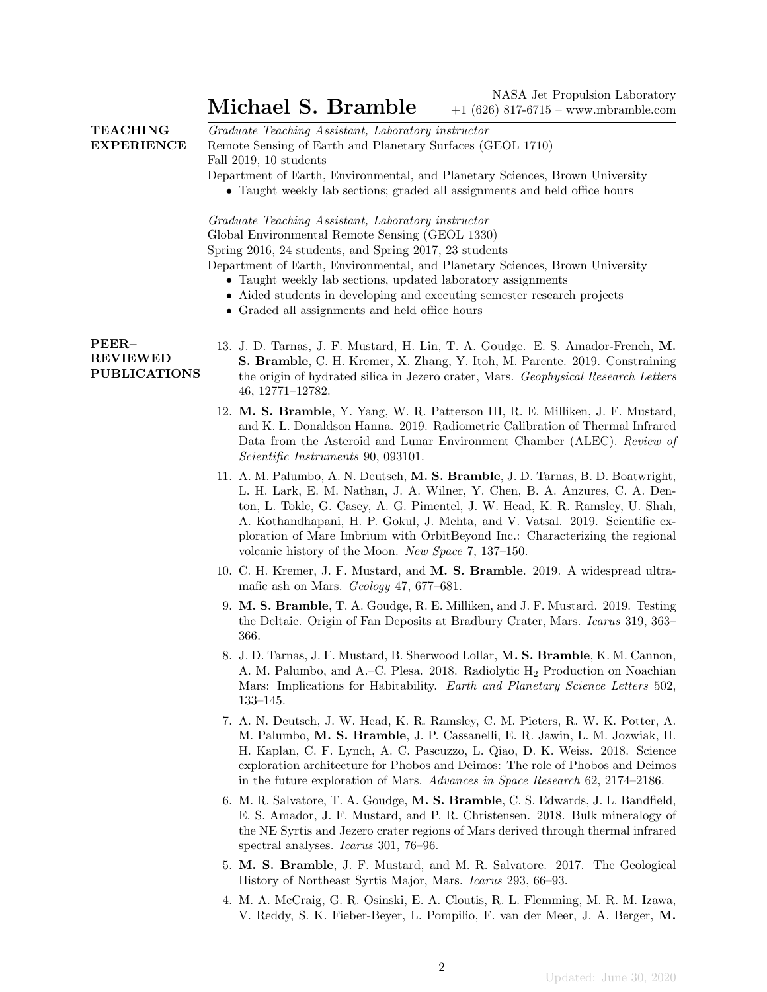# Michael S. Bramble<br>1626) 817.6715 www.mbramble.com

|                                                 | Michael S. Bramble<br>$+1$ (626) 817-6715 - www.mbramble.com                                                                                                                                                                                                                                                                                                                                                                                                          |
|-------------------------------------------------|-----------------------------------------------------------------------------------------------------------------------------------------------------------------------------------------------------------------------------------------------------------------------------------------------------------------------------------------------------------------------------------------------------------------------------------------------------------------------|
| <b>TEACHING</b><br><b>EXPERIENCE</b>            | Graduate Teaching Assistant, Laboratory instructor<br>Remote Sensing of Earth and Planetary Surfaces (GEOL 1710)<br>Fall 2019, 10 students<br>Department of Earth, Environmental, and Planetary Sciences, Brown University<br>• Taught weekly lab sections; graded all assignments and held office hours                                                                                                                                                              |
|                                                 | Graduate Teaching Assistant, Laboratory instructor<br>Global Environmental Remote Sensing (GEOL 1330)<br>Spring 2016, 24 students, and Spring 2017, 23 students<br>Department of Earth, Environmental, and Planetary Sciences, Brown University<br>• Taught weekly lab sections, updated laboratory assignments<br>• Aided students in developing and executing semester research projects<br>• Graded all assignments and held office hours                          |
| PEER-<br><b>REVIEWED</b><br><b>PUBLICATIONS</b> | 13. J. D. Tarnas, J. F. Mustard, H. Lin, T. A. Goudge. E. S. Amador-French, M.<br>S. Bramble, C. H. Kremer, X. Zhang, Y. Itoh, M. Parente. 2019. Constraining<br>the origin of hydrated silica in Jezero crater, Mars. Geophysical Research Letters<br>46, 12771-12782.                                                                                                                                                                                               |
|                                                 | 12. M. S. Bramble, Y. Yang, W. R. Patterson III, R. E. Milliken, J. F. Mustard,<br>and K. L. Donaldson Hanna. 2019. Radiometric Calibration of Thermal Infrared<br>Data from the Asteroid and Lunar Environment Chamber (ALEC). Review of<br><i>Scientific Instruments</i> 90, 093101.                                                                                                                                                                                |
|                                                 | 11. A. M. Palumbo, A. N. Deutsch, M. S. Bramble, J. D. Tarnas, B. D. Boatwright,<br>L. H. Lark, E. M. Nathan, J. A. Wilner, Y. Chen, B. A. Anzures, C. A. Den-<br>ton, L. Tokle, G. Casey, A. G. Pimentel, J. W. Head, K. R. Ramsley, U. Shah,<br>A. Kothandhapani, H. P. Gokul, J. Mehta, and V. Vatsal. 2019. Scientific ex-<br>ploration of Mare Imbrium with OrbitBeyond Inc.: Characterizing the regional<br>volcanic history of the Moon. New Space 7, 137-150. |
|                                                 | 10. C. H. Kremer, J. F. Mustard, and M. S. Bramble. 2019. A widespread ultra-<br>mafic ash on Mars. Geology 47, 677-681.                                                                                                                                                                                                                                                                                                                                              |

- 9. M. S. Bramble, T. A. Goudge, R. E. Milliken, and J. F. Mustard. 2019. Testing the Deltaic. Origin of Fan Deposits at Bradbury Crater, Mars. Icarus 319, 363– 366.
- 8. J. D. Tarnas, J. F. Mustard, B. Sherwood Lollar, M. S. Bramble, K. M. Cannon, A. M. Palumbo, and A.–C. Plesa. 2018. Radiolytic  $H_2$  Production on Noachian Mars: Implications for Habitability. Earth and Planetary Science Letters 502, 133–145.
- 7. A. N. Deutsch, J. W. Head, K. R. Ramsley, C. M. Pieters, R. W. K. Potter, A. M. Palumbo, M. S. Bramble, J. P. Cassanelli, E. R. Jawin, L. M. Jozwiak, H. H. Kaplan, C. F. Lynch, A. C. Pascuzzo, L. Qiao, D. K. Weiss. 2018. Science exploration architecture for Phobos and Deimos: The role of Phobos and Deimos in the future exploration of Mars. Advances in Space Research 62, 2174–2186.
- 6. M. R. Salvatore, T. A. Goudge, M. S. Bramble, C. S. Edwards, J. L. Bandfield, E. S. Amador, J. F. Mustard, and P. R. Christensen. 2018. Bulk mineralogy of the NE Syrtis and Jezero crater regions of Mars derived through thermal infrared spectral analyses. *Icarus* 301, 76–96.
- 5. M. S. Bramble, J. F. Mustard, and M. R. Salvatore. 2017. The Geological History of Northeast Syrtis Major, Mars. Icarus 293, 66–93.
- 4. M. A. McCraig, G. R. Osinski, E. A. Cloutis, R. L. Flemming, M. R. M. Izawa, V. Reddy, S. K. Fieber-Beyer, L. Pompilio, F. van der Meer, J. A. Berger, M.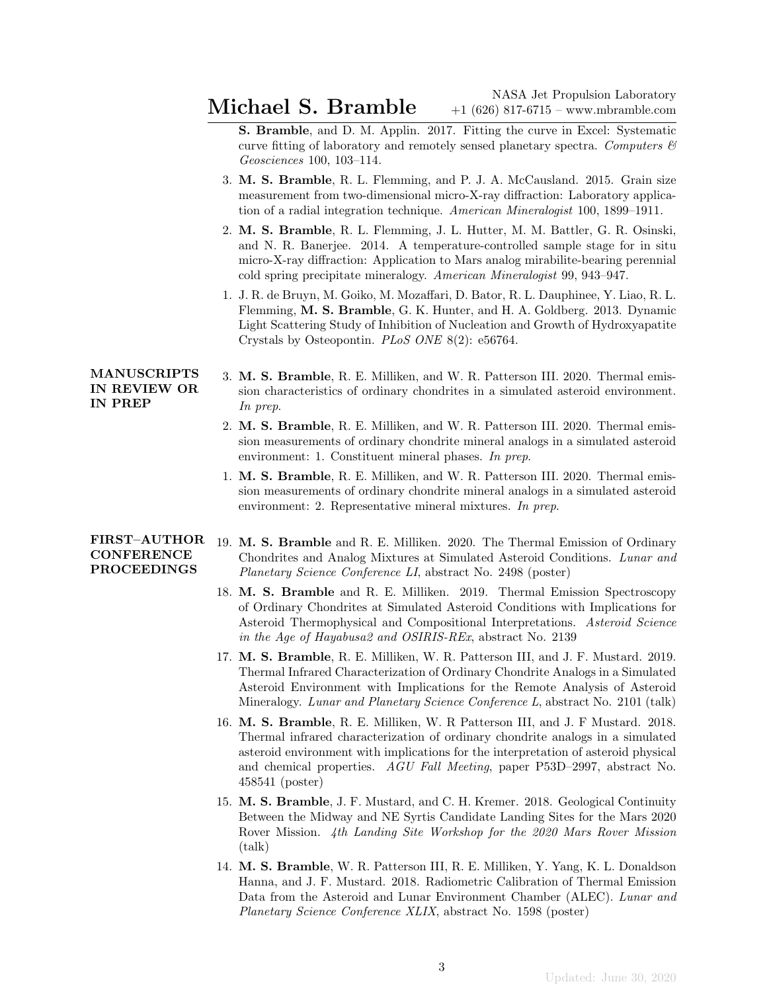- S. Bramble, and D. M. Applin. 2017. Fitting the curve in Excel: Systematic curve fitting of laboratory and remotely sensed planetary spectra. Computers  $\mathcal{C}$ Geosciences 100, 103–114.
- 3. M. S. Bramble, R. L. Flemming, and P. J. A. McCausland. 2015. Grain size measurement from two-dimensional micro-X-ray diffraction: Laboratory application of a radial integration technique. American Mineralogist 100, 1899–1911.
- 2. M. S. Bramble, R. L. Flemming, J. L. Hutter, M. M. Battler, G. R. Osinski, and N. R. Banerjee. 2014. A temperature-controlled sample stage for in situ micro-X-ray diffraction: Application to Mars analog mirabilite-bearing perennial cold spring precipitate mineralogy. American Mineralogist 99, 943–947.
- 1. J. R. de Bruyn, M. Goiko, M. Mozaffari, D. Bator, R. L. Dauphinee, Y. Liao, R. L. Flemming, M. S. Bramble, G. K. Hunter, and H. A. Goldberg. 2013. Dynamic Light Scattering Study of Inhibition of Nucleation and Growth of Hydroxyapatite Crystals by Osteopontin. PLoS ONE 8(2): e56764.

### MANUSCRIPTS IN REVIEW OR IN PREP

- 3. M. S. Bramble, R. E. Milliken, and W. R. Patterson III. 2020. Thermal emission characteristics of ordinary chondrites in a simulated asteroid environment. In prep.
- 2. M. S. Bramble, R. E. Milliken, and W. R. Patterson III. 2020. Thermal emission measurements of ordinary chondrite mineral analogs in a simulated asteroid environment: 1. Constituent mineral phases. In prep.
- 1. M. S. Bramble, R. E. Milliken, and W. R. Patterson III. 2020. Thermal emission measurements of ordinary chondrite mineral analogs in a simulated asteroid environment: 2. Representative mineral mixtures. In prep.

### FIRST–AUTHOR **CONFERENCE** PROCEEDINGS

- 19. M. S. Bramble and R. E. Milliken. 2020. The Thermal Emission of Ordinary Chondrites and Analog Mixtures at Simulated Asteroid Conditions. Lunar and Planetary Science Conference LI, abstract No. 2498 (poster)
- 18. M. S. Bramble and R. E. Milliken. 2019. Thermal Emission Spectroscopy of Ordinary Chondrites at Simulated Asteroid Conditions with Implications for Asteroid Thermophysical and Compositional Interpretations. Asteroid Science in the Age of Hayabusa2 and OSIRIS-REx, abstract No. 2139
- 17. M. S. Bramble, R. E. Milliken, W. R. Patterson III, and J. F. Mustard. 2019. Thermal Infrared Characterization of Ordinary Chondrite Analogs in a Simulated Asteroid Environment with Implications for the Remote Analysis of Asteroid Mineralogy. Lunar and Planetary Science Conference L, abstract No. 2101 (talk)
- 16. M. S. Bramble, R. E. Milliken, W. R Patterson III, and J. F Mustard. 2018. Thermal infrared characterization of ordinary chondrite analogs in a simulated asteroid environment with implications for the interpretation of asteroid physical and chemical properties. AGU Fall Meeting, paper P53D–2997, abstract No. 458541 (poster)
- 15. M. S. Bramble, J. F. Mustard, and C. H. Kremer. 2018. Geological Continuity Between the Midway and NE Syrtis Candidate Landing Sites for the Mars 2020 Rover Mission. 4th Landing Site Workshop for the 2020 Mars Rover Mission (talk)
- 14. M. S. Bramble, W. R. Patterson III, R. E. Milliken, Y. Yang, K. L. Donaldson Hanna, and J. F. Mustard. 2018. Radiometric Calibration of Thermal Emission Data from the Asteroid and Lunar Environment Chamber (ALEC). Lunar and Planetary Science Conference XLIX, abstract No. 1598 (poster)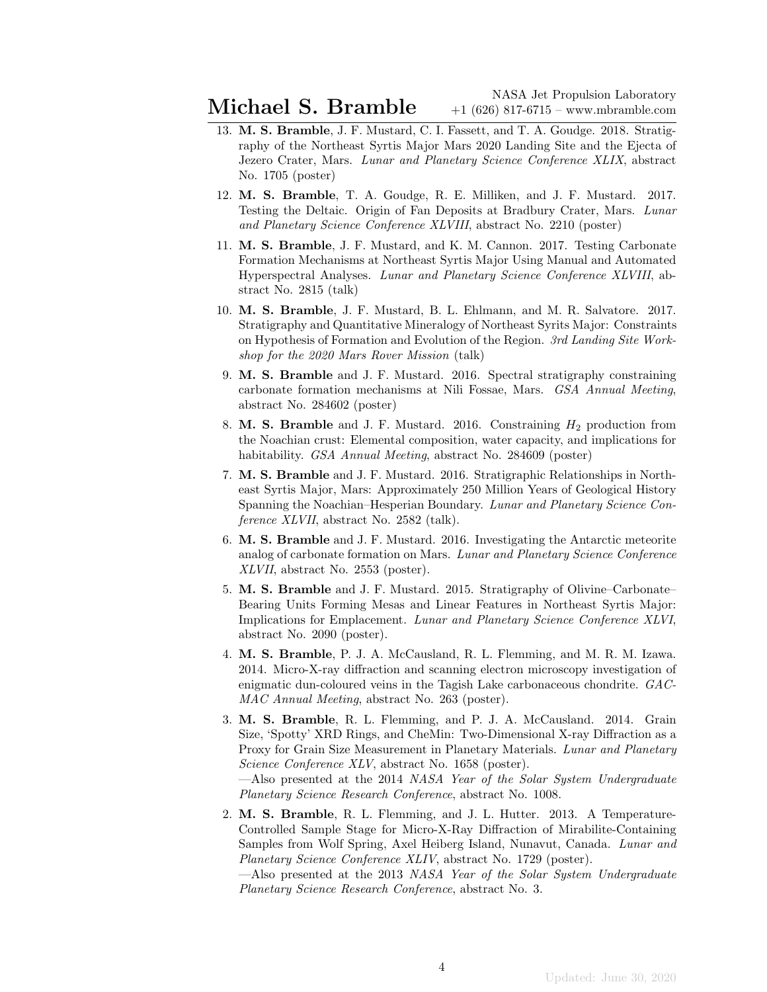Michael S. Bramble  $\overline{\text{Mash}}$  Jet Propulsion Laboratory +1 (626) 817-6715 – www.mbramble.com

- 13. M. S. Bramble, J. F. Mustard, C. I. Fassett, and T. A. Goudge. 2018. Stratigraphy of the Northeast Syrtis Major Mars 2020 Landing Site and the Ejecta of Jezero Crater, Mars. Lunar and Planetary Science Conference XLIX, abstract No. 1705 (poster)
- 12. M. S. Bramble, T. A. Goudge, R. E. Milliken, and J. F. Mustard. 2017. Testing the Deltaic. Origin of Fan Deposits at Bradbury Crater, Mars. Lunar and Planetary Science Conference XLVIII, abstract No. 2210 (poster)
- 11. M. S. Bramble, J. F. Mustard, and K. M. Cannon. 2017. Testing Carbonate Formation Mechanisms at Northeast Syrtis Major Using Manual and Automated Hyperspectral Analyses. Lunar and Planetary Science Conference XLVIII, abstract No. 2815 (talk)
- 10. M. S. Bramble, J. F. Mustard, B. L. Ehlmann, and M. R. Salvatore. 2017. Stratigraphy and Quantitative Mineralogy of Northeast Syrits Major: Constraints on Hypothesis of Formation and Evolution of the Region. 3rd Landing Site Workshop for the 2020 Mars Rover Mission (talk)
- 9. M. S. Bramble and J. F. Mustard. 2016. Spectral stratigraphy constraining carbonate formation mechanisms at Nili Fossae, Mars. GSA Annual Meeting, abstract No. 284602 (poster)
- 8. M. S. Bramble and J. F. Mustard. 2016. Constraining  $H_2$  production from the Noachian crust: Elemental composition, water capacity, and implications for habitability. *GSA Annual Meeting*, abstract No. 284609 (poster)
- 7. M. S. Bramble and J. F. Mustard. 2016. Stratigraphic Relationships in Northeast Syrtis Major, Mars: Approximately 250 Million Years of Geological History Spanning the Noachian–Hesperian Boundary. Lunar and Planetary Science Conference XLVII, abstract No. 2582 (talk).
- 6. M. S. Bramble and J. F. Mustard. 2016. Investigating the Antarctic meteorite analog of carbonate formation on Mars. Lunar and Planetary Science Conference XLVII, abstract No. 2553 (poster).
- 5. M. S. Bramble and J. F. Mustard. 2015. Stratigraphy of Olivine–Carbonate– Bearing Units Forming Mesas and Linear Features in Northeast Syrtis Major: Implications for Emplacement. Lunar and Planetary Science Conference XLVI, abstract No. 2090 (poster).
- 4. M. S. Bramble, P. J. A. McCausland, R. L. Flemming, and M. R. M. Izawa. 2014. Micro-X-ray diffraction and scanning electron microscopy investigation of enigmatic dun-coloured veins in the Tagish Lake carbonaceous chondrite. GAC-MAC Annual Meeting, abstract No. 263 (poster).
- 3. M. S. Bramble, R. L. Flemming, and P. J. A. McCausland. 2014. Grain Size, 'Spotty' XRD Rings, and CheMin: Two-Dimensional X-ray Diffraction as a Proxy for Grain Size Measurement in Planetary Materials. Lunar and Planetary Science Conference XLV, abstract No. 1658 (poster).

—Also presented at the 2014 NASA Year of the Solar System Undergraduate Planetary Science Research Conference, abstract No. 1008.

2. M. S. Bramble, R. L. Flemming, and J. L. Hutter. 2013. A Temperature-Controlled Sample Stage for Micro-X-Ray Diffraction of Mirabilite-Containing Samples from Wolf Spring, Axel Heiberg Island, Nunavut, Canada. Lunar and Planetary Science Conference XLIV, abstract No. 1729 (poster).

 $-$ Also presented at the 2013 NASA Year of the Solar System Undergraduate Planetary Science Research Conference, abstract No. 3.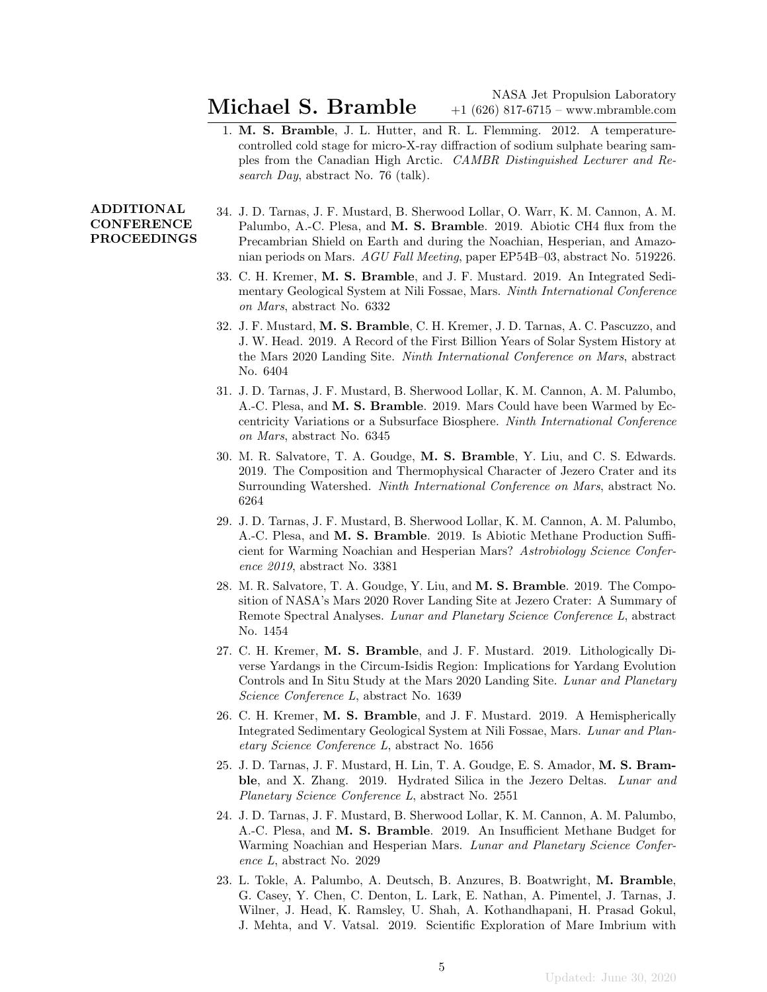1. M. S. Bramble, J. L. Hutter, and R. L. Flemming. 2012. A temperaturecontrolled cold stage for micro-X-ray diffraction of sodium sulphate bearing samples from the Canadian High Arctic. CAMBR Distinguished Lecturer and Research Day, abstract No. 76 (talk).

## ADDITIONAL **CONFERENCE** PROCEEDINGS

- 34. J. D. Tarnas, J. F. Mustard, B. Sherwood Lollar, O. Warr, K. M. Cannon, A. M. Palumbo, A.-C. Plesa, and M. S. Bramble. 2019. Abiotic CH4 flux from the Precambrian Shield on Earth and during the Noachian, Hesperian, and Amazonian periods on Mars. AGU Fall Meeting, paper EP54B–03, abstract No. 519226.
- 33. C. H. Kremer, M. S. Bramble, and J. F. Mustard. 2019. An Integrated Sedimentary Geological System at Nili Fossae, Mars. Ninth International Conference on Mars, abstract No. 6332
- 32. J. F. Mustard, M. S. Bramble, C. H. Kremer, J. D. Tarnas, A. C. Pascuzzo, and J. W. Head. 2019. A Record of the First Billion Years of Solar System History at the Mars 2020 Landing Site. Ninth International Conference on Mars, abstract No. 6404
- 31. J. D. Tarnas, J. F. Mustard, B. Sherwood Lollar, K. M. Cannon, A. M. Palumbo, A.-C. Plesa, and M. S. Bramble. 2019. Mars Could have been Warmed by Eccentricity Variations or a Subsurface Biosphere. Ninth International Conference on Mars, abstract No. 6345
- 30. M. R. Salvatore, T. A. Goudge, M. S. Bramble, Y. Liu, and C. S. Edwards. 2019. The Composition and Thermophysical Character of Jezero Crater and its Surrounding Watershed. Ninth International Conference on Mars, abstract No. 6264
- 29. J. D. Tarnas, J. F. Mustard, B. Sherwood Lollar, K. M. Cannon, A. M. Palumbo, A.-C. Plesa, and M. S. Bramble. 2019. Is Abiotic Methane Production Sufficient for Warming Noachian and Hesperian Mars? Astrobiology Science Conference 2019, abstract No. 3381
- 28. M. R. Salvatore, T. A. Goudge, Y. Liu, and M. S. Bramble. 2019. The Composition of NASA's Mars 2020 Rover Landing Site at Jezero Crater: A Summary of Remote Spectral Analyses. Lunar and Planetary Science Conference L, abstract No. 1454
- 27. C. H. Kremer, M. S. Bramble, and J. F. Mustard. 2019. Lithologically Diverse Yardangs in the Circum-Isidis Region: Implications for Yardang Evolution Controls and In Situ Study at the Mars 2020 Landing Site. Lunar and Planetary Science Conference L, abstract No. 1639
- 26. C. H. Kremer, M. S. Bramble, and J. F. Mustard. 2019. A Hemispherically Integrated Sedimentary Geological System at Nili Fossae, Mars. Lunar and Planetary Science Conference L, abstract No. 1656
- 25. J. D. Tarnas, J. F. Mustard, H. Lin, T. A. Goudge, E. S. Amador, M. S. Bramble, and X. Zhang. 2019. Hydrated Silica in the Jezero Deltas. Lunar and Planetary Science Conference L, abstract No. 2551
- 24. J. D. Tarnas, J. F. Mustard, B. Sherwood Lollar, K. M. Cannon, A. M. Palumbo, A.-C. Plesa, and M. S. Bramble. 2019. An Insufficient Methane Budget for Warming Noachian and Hesperian Mars. Lunar and Planetary Science Conference L, abstract No. 2029
- 23. L. Tokle, A. Palumbo, A. Deutsch, B. Anzures, B. Boatwright, M. Bramble, G. Casey, Y. Chen, C. Denton, L. Lark, E. Nathan, A. Pimentel, J. Tarnas, J. Wilner, J. Head, K. Ramsley, U. Shah, A. Kothandhapani, H. Prasad Gokul, J. Mehta, and V. Vatsal. 2019. Scientific Exploration of Mare Imbrium with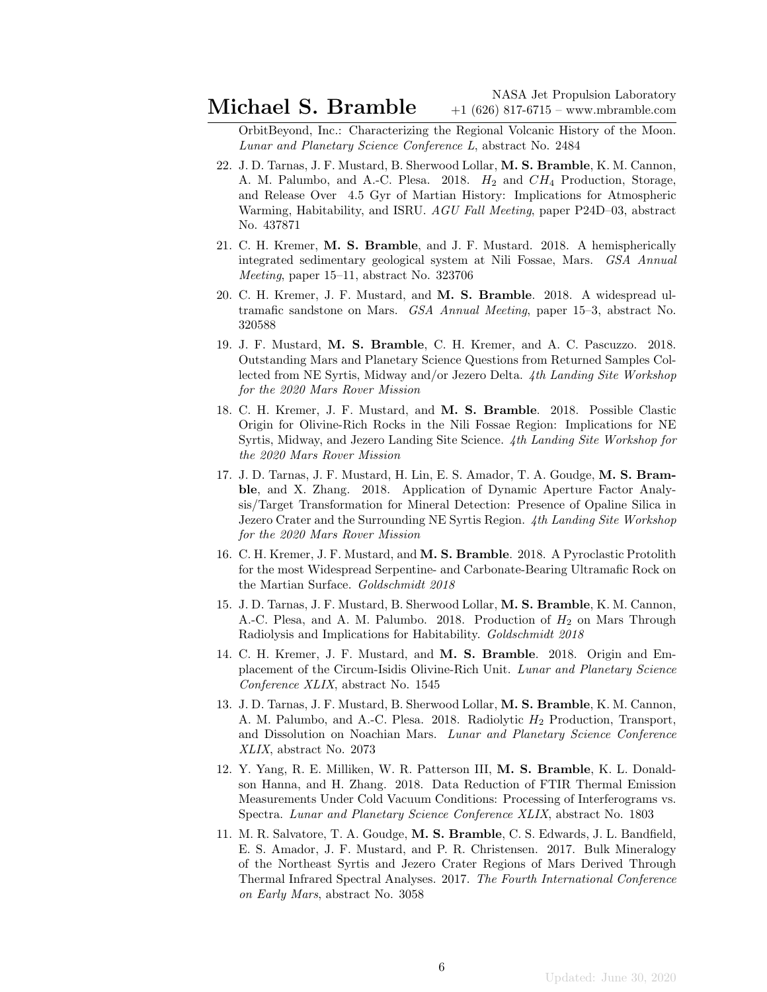OrbitBeyond, Inc.: Characterizing the Regional Volcanic History of the Moon. Lunar and Planetary Science Conference L, abstract No. 2484

- 22. J. D. Tarnas, J. F. Mustard, B. Sherwood Lollar, M. S. Bramble, K. M. Cannon, A. M. Palumbo, and A.-C. Plesa. 2018.  $H_2$  and  $CH_4$  Production, Storage, and Release Over 4.5 Gyr of Martian History: Implications for Atmospheric Warming, Habitability, and ISRU. AGU Fall Meeting, paper P24D–03, abstract No. 437871
- 21. C. H. Kremer, M. S. Bramble, and J. F. Mustard. 2018. A hemispherically integrated sedimentary geological system at Nili Fossae, Mars. GSA Annual Meeting, paper 15–11, abstract No. 323706
- 20. C. H. Kremer, J. F. Mustard, and M. S. Bramble. 2018. A widespread ultramafic sandstone on Mars. GSA Annual Meeting, paper 15–3, abstract No. 320588
- 19. J. F. Mustard, M. S. Bramble, C. H. Kremer, and A. C. Pascuzzo. 2018. Outstanding Mars and Planetary Science Questions from Returned Samples Collected from NE Syrtis, Midway and/or Jezero Delta. 4th Landing Site Workshop for the 2020 Mars Rover Mission
- 18. C. H. Kremer, J. F. Mustard, and M. S. Bramble. 2018. Possible Clastic Origin for Olivine-Rich Rocks in the Nili Fossae Region: Implications for NE Syrtis, Midway, and Jezero Landing Site Science. 4th Landing Site Workshop for the 2020 Mars Rover Mission
- 17. J. D. Tarnas, J. F. Mustard, H. Lin, E. S. Amador, T. A. Goudge, M. S. Bramble, and X. Zhang. 2018. Application of Dynamic Aperture Factor Analysis/Target Transformation for Mineral Detection: Presence of Opaline Silica in Jezero Crater and the Surrounding NE Syrtis Region. 4th Landing Site Workshop for the 2020 Mars Rover Mission
- 16. C. H. Kremer, J. F. Mustard, and M. S. Bramble. 2018. A Pyroclastic Protolith for the most Widespread Serpentine- and Carbonate-Bearing Ultramafic Rock on the Martian Surface. Goldschmidt 2018
- 15. J. D. Tarnas, J. F. Mustard, B. Sherwood Lollar, M. S. Bramble, K. M. Cannon, A.-C. Plesa, and A. M. Palumbo. 2018. Production of  $H_2$  on Mars Through Radiolysis and Implications for Habitability. Goldschmidt 2018
- 14. C. H. Kremer, J. F. Mustard, and M. S. Bramble. 2018. Origin and Emplacement of the Circum-Isidis Olivine-Rich Unit. Lunar and Planetary Science Conference XLIX, abstract No. 1545
- 13. J. D. Tarnas, J. F. Mustard, B. Sherwood Lollar, M. S. Bramble, K. M. Cannon, A. M. Palumbo, and A.-C. Plesa. 2018. Radiolytic  $H_2$  Production, Transport, and Dissolution on Noachian Mars. Lunar and Planetary Science Conference XLIX, abstract No. 2073
- 12. Y. Yang, R. E. Milliken, W. R. Patterson III, M. S. Bramble, K. L. Donaldson Hanna, and H. Zhang. 2018. Data Reduction of FTIR Thermal Emission Measurements Under Cold Vacuum Conditions: Processing of Interferograms vs. Spectra. Lunar and Planetary Science Conference XLIX, abstract No. 1803
- 11. M. R. Salvatore, T. A. Goudge, M. S. Bramble, C. S. Edwards, J. L. Bandfield, E. S. Amador, J. F. Mustard, and P. R. Christensen. 2017. Bulk Mineralogy of the Northeast Syrtis and Jezero Crater Regions of Mars Derived Through Thermal Infrared Spectral Analyses. 2017. The Fourth International Conference on Early Mars, abstract No. 3058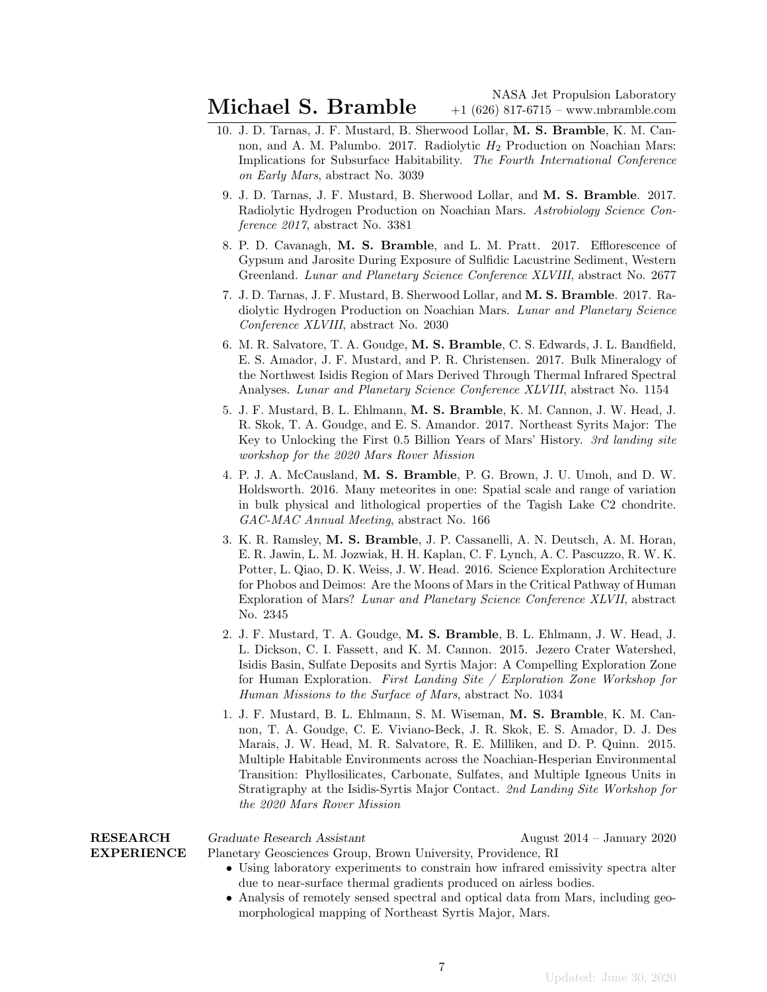- 10. J. D. Tarnas, J. F. Mustard, B. Sherwood Lollar, M. S. Bramble, K. M. Cannon, and A. M. Palumbo. 2017. Radiolytic  $H_2$  Production on Noachian Mars: Implications for Subsurface Habitability. The Fourth International Conference on Early Mars, abstract No. 3039
	- 9. J. D. Tarnas, J. F. Mustard, B. Sherwood Lollar, and M. S. Bramble. 2017. Radiolytic Hydrogen Production on Noachian Mars. Astrobiology Science Conference 2017, abstract No. 3381
	- 8. P. D. Cavanagh, M. S. Bramble, and L. M. Pratt. 2017. Efflorescence of Gypsum and Jarosite During Exposure of Sulfidic Lacustrine Sediment, Western Greenland. Lunar and Planetary Science Conference XLVIII, abstract No. 2677
	- 7. J. D. Tarnas, J. F. Mustard, B. Sherwood Lollar, and M. S. Bramble. 2017. Radiolytic Hydrogen Production on Noachian Mars. Lunar and Planetary Science Conference XLVIII, abstract No. 2030
- 6. M. R. Salvatore, T. A. Goudge, M. S. Bramble, C. S. Edwards, J. L. Bandfield, E. S. Amador, J. F. Mustard, and P. R. Christensen. 2017. Bulk Mineralogy of the Northwest Isidis Region of Mars Derived Through Thermal Infrared Spectral Analyses. Lunar and Planetary Science Conference XLVIII, abstract No. 1154
- 5. J. F. Mustard, B. L. Ehlmann, M. S. Bramble, K. M. Cannon, J. W. Head, J. R. Skok, T. A. Goudge, and E. S. Amandor. 2017. Northeast Syrits Major: The Key to Unlocking the First 0.5 Billion Years of Mars' History. 3rd landing site workshop for the 2020 Mars Rover Mission
- 4. P. J. A. McCausland, M. S. Bramble, P. G. Brown, J. U. Umoh, and D. W. Holdsworth. 2016. Many meteorites in one: Spatial scale and range of variation in bulk physical and lithological properties of the Tagish Lake C2 chondrite. GAC-MAC Annual Meeting, abstract No. 166
- 3. K. R. Ramsley, M. S. Bramble, J. P. Cassanelli, A. N. Deutsch, A. M. Horan, E. R. Jawin, L. M. Jozwiak, H. H. Kaplan, C. F. Lynch, A. C. Pascuzzo, R. W. K. Potter, L. Qiao, D. K. Weiss, J. W. Head. 2016. Science Exploration Architecture for Phobos and Deimos: Are the Moons of Mars in the Critical Pathway of Human Exploration of Mars? Lunar and Planetary Science Conference XLVII, abstract No. 2345
- 2. J. F. Mustard, T. A. Goudge, M. S. Bramble, B. L. Ehlmann, J. W. Head, J. L. Dickson, C. I. Fassett, and K. M. Cannon. 2015. Jezero Crater Watershed, Isidis Basin, Sulfate Deposits and Syrtis Major: A Compelling Exploration Zone for Human Exploration. First Landing Site / Exploration Zone Workshop for Human Missions to the Surface of Mars, abstract No. 1034
- 1. J. F. Mustard, B. L. Ehlmann, S. M. Wiseman, M. S. Bramble, K. M. Cannon, T. A. Goudge, C. E. Viviano-Beck, J. R. Skok, E. S. Amador, D. J. Des Marais, J. W. Head, M. R. Salvatore, R. E. Milliken, and D. P. Quinn. 2015. Multiple Habitable Environments across the Noachian-Hesperian Environmental Transition: Phyllosilicates, Carbonate, Sulfates, and Multiple Igneous Units in Stratigraphy at the Isidis-Syrtis Major Contact. 2nd Landing Site Workshop for the 2020 Mars Rover Mission

|                   | the 2020 Mars Rover Mission                                                       |                              |
|-------------------|-----------------------------------------------------------------------------------|------------------------------|
| <b>RESEARCH</b>   | Graduate Research Assistant                                                       | August $2014 - January 2020$ |
| <b>EXPERIENCE</b> | Planetary Geosciences Group, Brown University, Providence, RI                     |                              |
|                   | • Using laboratory experiments to constrain how infrared emissivity spectra alter |                              |
|                   | due to near-surface thermal gradients produced on airless bodies.                 |                              |
|                   | • Analysis of remotely sensed spectral and optical data from Mars, including geo- |                              |
|                   | morphological mapping of Northeast Syrtis Major, Mars.                            |                              |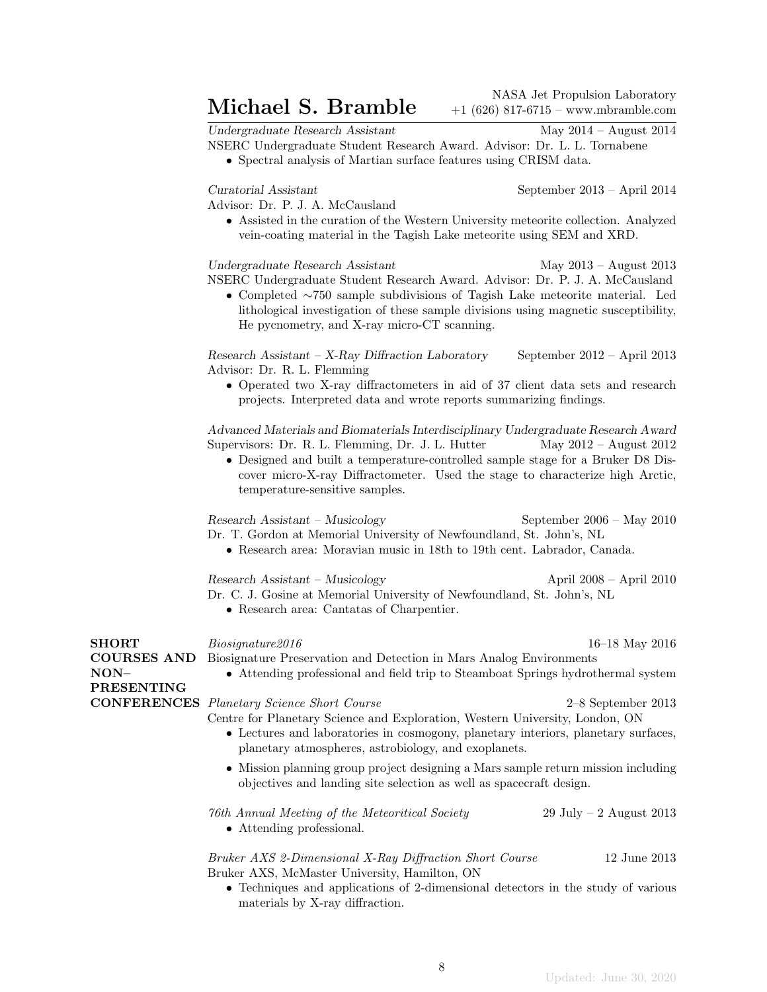Michael S. Bramble  $\frac{\text{NASA Jet Propulsion Laboratory}}{+1(626) 817-6715 - \text{www.mbramble.com}}$ +1 (626) 817-6715 – www.mbramble.com

Undergraduate Research Assistant May 2014 – August 2014

Advisor: Dr. P. J. A. McCausland

NSERC Undergraduate Student Research Award. Advisor: Dr. L. L. Tornabene

• Spectral analysis of Martian surface features using CRISM data.

Curatorial Assistant September 2013 – April 2014

• Assisted in the curation of the Western University meteorite collection. Analyzed vein-coating material in the Tagish Lake meteorite using SEM and XRD.

Undergraduate Research Assistant May 2013 – August 2013 NSERC Undergraduate Student Research Award. Advisor: Dr. P. J. A. McCausland

• Completed ∼750 sample subdivisions of Tagish Lake meteorite material. Led lithological investigation of these sample divisions using magnetic susceptibility, He pycnometry, and X-ray micro-CT scanning.

Research Assistant – X-Ray Diffraction Laboratory September 2012 – April 2013 Advisor: Dr. R. L. Flemming

• Operated two X-ray diffractometers in aid of 37 client data sets and research projects. Interpreted data and wrote reports summarizing findings.

Advanced Materials and Biomaterials Interdisciplinary Undergraduate Research Award Supervisors: Dr. R. L. Flemming, Dr. J. L. Hutter May 2012 – August 2012

• Designed and built a temperature-controlled sample stage for a Bruker D8 Discover micro-X-ray Diffractometer. Used the stage to characterize high Arctic, temperature-sensitive samples.

Research Assistant – Musicology September 2006 – May 2010 Dr. T. Gordon at Memorial University of Newfoundland, St. John's, NL

• Research area: Moravian music in 18th to 19th cent. Labrador, Canada.

Research Assistant – Musicology April 2008 – April 2010 Dr. C. J. Gosine at Memorial University of Newfoundland, St. John's, NL

• Research area: Cantatas of Charpentier.

| <b>SHORT</b><br><b>COURSES AND</b><br>$NON-$<br><b>PRESENTING</b> | Biosi anature 2016<br>Biosignature Preservation and Detection in Mars Analog Environments<br>• Attending professional and field trip to Steamboat Springs hydrothermal system                                                                                | 16–18 May 2016          |
|-------------------------------------------------------------------|--------------------------------------------------------------------------------------------------------------------------------------------------------------------------------------------------------------------------------------------------------------|-------------------------|
| <b>CONFERENCES</b>                                                | Planetary Science Short Course<br>Centre for Planetary Science and Exploration, Western University, London, ON<br>• Lectures and laboratories in cosmogony, planetary interiors, planetary surfaces,<br>planetary atmospheres, astrobiology, and exoplanets. | $2-8$ September 2013    |
|                                                                   | • Mission planning group project designing a Mars sample return mission including<br>objectives and landing site selection as well as spacecraft design.                                                                                                     |                         |
|                                                                   | 76th Annual Meeting of the Meteoritical Society<br>• Attending professional.                                                                                                                                                                                 | 29 July – 2 August 2013 |
|                                                                   | Bruker AXS 2-Dimensional X-Ray Diffraction Short Course<br>Bruker AXS, McMaster University, Hamilton, ON                                                                                                                                                     | 12 June 2013            |
|                                                                   | • Techniques and applications of 2-dimensional detectors in the study of various                                                                                                                                                                             |                         |

• Techniques and applications of 2-dimensional detectors in the study of various materials by X-ray diffraction.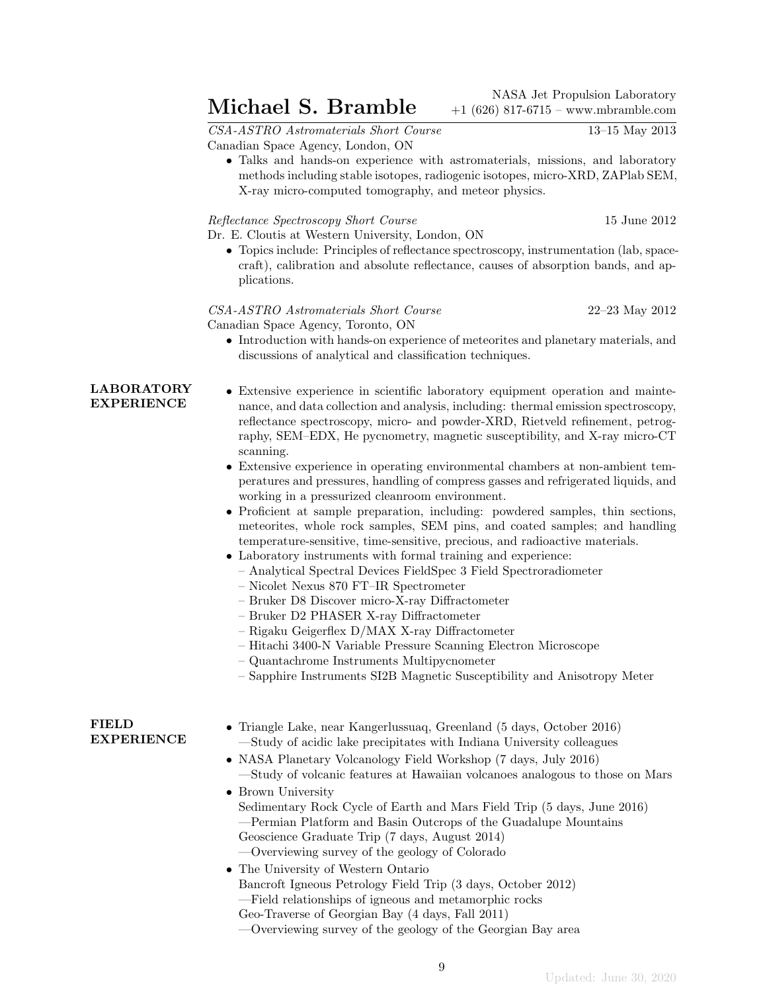$\textbf{Michael S. Bramble}$  + 1 (626) 817-6715 - www.mbramble.com +1 (626) 817-6715 – www.mbramble.com

CSA-ASTRO Astromaterials Short Course 13–15 May 2013 Canadian Space Agency, London, ON

- - Talks and hands-on experience with astromaterials, missions, and laboratory methods including stable isotopes, radiogenic isotopes, micro-XRD, ZAPlab SEM, X-ray micro-computed tomography, and meteor physics.

Reflectance Spectroscopy Short Course 15 June 2012

Dr. E. Cloutis at Western University, London, ON

• Topics include: Principles of reflectance spectroscopy, instrumentation (lab, spacecraft), calibration and absolute reflectance, causes of absorption bands, and applications.

CSA-ASTRO Astromaterials Short Course 22–23 May 2012 Canadian Space Agency, Toronto, ON

• Introduction with hands-on experience of meteorites and planetary materials, and discussions of analytical and classification techniques.

# LABORATORY EXPERIENCE

- Extensive experience in scientific laboratory equipment operation and maintenance, and data collection and analysis, including: thermal emission spectroscopy, reflectance spectroscopy, micro- and powder-XRD, Rietveld refinement, petrography, SEM–EDX, He pycnometry, magnetic susceptibility, and X-ray micro-CT scanning.
- Extensive experience in operating environmental chambers at non-ambient temperatures and pressures, handling of compress gasses and refrigerated liquids, and working in a pressurized cleanroom environment.
- Proficient at sample preparation, including: powdered samples, thin sections, meteorites, whole rock samples, SEM pins, and coated samples; and handling temperature-sensitive, time-sensitive, precious, and radioactive materials.
- Laboratory instruments with formal training and experience:
	- Analytical Spectral Devices FieldSpec 3 Field Spectroradiometer
	- Nicolet Nexus 870 FT–IR Spectrometer
	- Bruker D8 Discover micro-X-ray Diffractometer
	- Bruker D2 PHASER X-ray Diffractometer
	- Rigaku Geigerflex D/MAX X-ray Diffractometer
	- Hitachi 3400-N Variable Pressure Scanning Electron Microscope
	- Quantachrome Instruments Multipycnometer
	- Sapphire Instruments SI2B Magnetic Susceptibility and Anisotropy Meter

### FIELD EXPERIENCE

- Triangle Lake, near Kangerlussuaq, Greenland (5 days, October 2016) —Study of acidic lake precipitates with Indiana University colleagues
- NASA Planetary Volcanology Field Workshop (7 days, July 2016) —Study of volcanic features at Hawaiian volcanoes analogous to those on Mars
- Brown University Sedimentary Rock Cycle of Earth and Mars Field Trip (5 days, June 2016) —Permian Platform and Basin Outcrops of the Guadalupe Mountains Geoscience Graduate Trip (7 days, August 2014) —Overviewing survey of the geology of Colorado
- The University of Western Ontario Bancroft Igneous Petrology Field Trip (3 days, October 2012) —Field relationships of igneous and metamorphic rocks Geo-Traverse of Georgian Bay (4 days, Fall 2011)

—Overviewing survey of the geology of the Georgian Bay area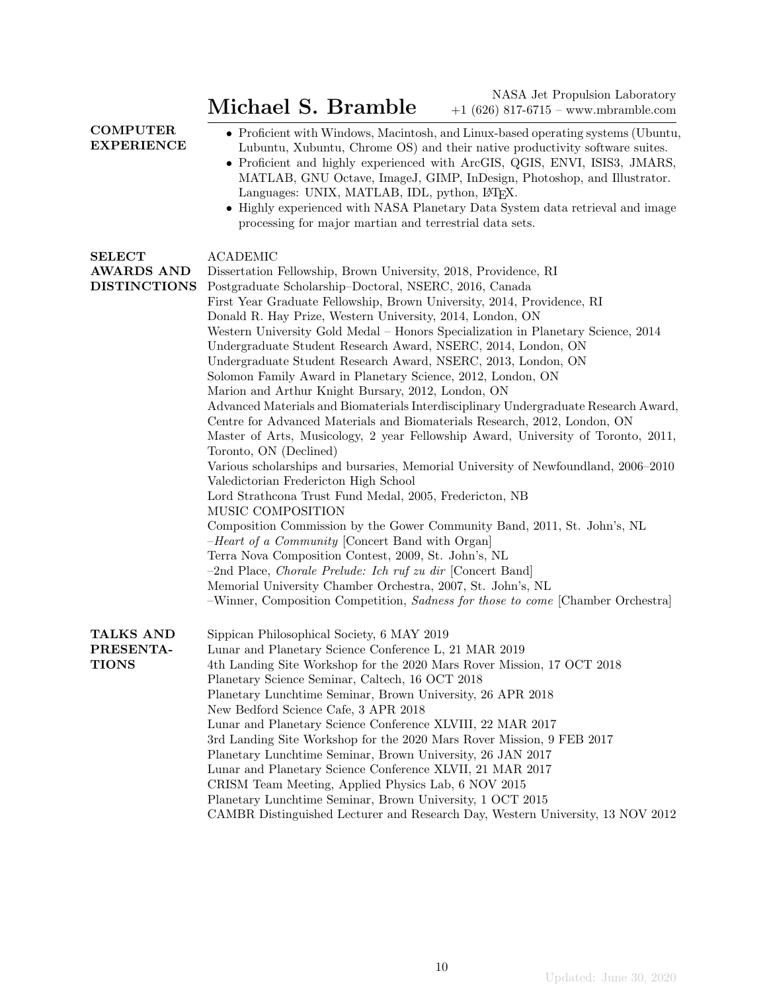Michael S. Bramble  $\begin{array}{r} \text{NASA Jet Propulsion Laboratory} \ \text{Michael S. Bramble} \end{array}$  +1 (626) 817-6715 – www.mbramble.com +1 (626) 817-6715 – www.mbramble.com

| <b>COMPUTER</b>   |
|-------------------|
| <b>EXPERIENCE</b> |

• Proficient with Windows, Macintosh, and Linux-based operating systems (Ubuntu, Lubuntu, Xubuntu, Chrome OS) and their native productivity software suites.

- Proficient and highly experienced with ArcGIS, QGIS, ENVI, ISIS3, JMARS, MATLAB, GNU Octave, ImageJ, GIMP, InDesign, Photoshop, and Illustrator. Languages: UNIX, MATLAB, IDL, python, L<sup>AT</sup>FX.
- Highly experienced with NASA Planetary Data System data retrieval and image processing for major martian and terrestrial data sets.

| <b>SELECT</b>       | <b>ACADEMIC</b>                                                                     |
|---------------------|-------------------------------------------------------------------------------------|
| <b>AWARDS AND</b>   | Dissertation Fellowship, Brown University, 2018, Providence, RI                     |
| <b>DISTINCTIONS</b> | Postgraduate Scholarship-Doctoral, NSERC, 2016, Canada                              |
|                     | First Year Graduate Fellowship, Brown University, 2014, Providence, RI              |
|                     | Donald R. Hay Prize, Western University, 2014, London, ON                           |
|                     | Western University Gold Medal - Honors Specialization in Planetary Science, 2014    |
|                     | Undergraduate Student Research Award, NSERC, 2014, London, ON                       |
|                     | Undergraduate Student Research Award, NSERC, 2013, London, ON                       |
|                     | Solomon Family Award in Planetary Science, 2012, London, ON                         |
|                     | Marion and Arthur Knight Bursary, 2012, London, ON                                  |
|                     | Advanced Materials and Biomaterials Interdisciplinary Undergraduate Research Award, |
|                     | Centre for Advanced Materials and Biomaterials Research, 2012, London, ON           |
|                     | Master of Arts, Musicology, 2 year Fellowship Award, University of Toronto, 2011,   |
|                     | Toronto, ON (Declined)                                                              |
|                     | Various scholarships and bursaries, Memorial University of Newfoundland, 2006–2010  |
|                     | Valedictorian Fredericton High School                                               |
|                     | Lord Strathcona Trust Fund Medal, 2005, Fredericton, NB                             |
|                     | MUSIC COMPOSITION                                                                   |
|                     | Composition Commission by the Gower Community Band, 2011, St. John's, NL            |
|                     | -Heart of a Community [Concert Band with Organ]                                     |
|                     | Terra Nova Composition Contest, 2009, St. John's, NL                                |
|                     | $-2nd$ Place, <i>Chorale Prelude: Ich ruf zu dir</i> [Concert Band]                 |
|                     | Memorial University Chamber Orchestra, 2007, St. John's, NL                         |
|                     | -Winner, Composition Competition, Sadness for those to come [Chamber Orchestra]     |
| <b>TALKS AND</b>    | Sippican Philosophical Society, 6 MAY 2019                                          |
| PRESENTA-           | Lunar and Planetary Science Conference L, 21 MAR 2019                               |
| <b>TIONS</b>        | 4th Landing Site Workshop for the 2020 Mars Rover Mission, 17 OCT 2018              |
|                     | Planetary Science Seminar, Caltech, 16 OCT 2018                                     |
|                     | Planetary Lunchtime Seminar, Brown University, 26 APR 2018                          |
|                     | New Bedford Science Cafe, 3 APR 2018                                                |
|                     | Lunar and Planetary Science Conference XLVIII, 22 MAR 2017                          |
|                     | 3rd Landing Site Workshop for the 2020 Mars Rover Mission, 9 FEB 2017               |
|                     | Planetary Lunchtime Seminar, Brown University, 26 JAN 2017                          |
|                     | Lunar and Planetary Science Conference XLVII, 21 MAR 2017                           |
|                     | CRISM Team Meeting, Applied Physics Lab, 6 NOV 2015                                 |
|                     | Planetary Lunchtime Seminar, Brown University, 1 OCT 2015                           |
|                     | CAMBR Distinguished Lecturer and Research Day, Western University, 13 NOV 2012      |